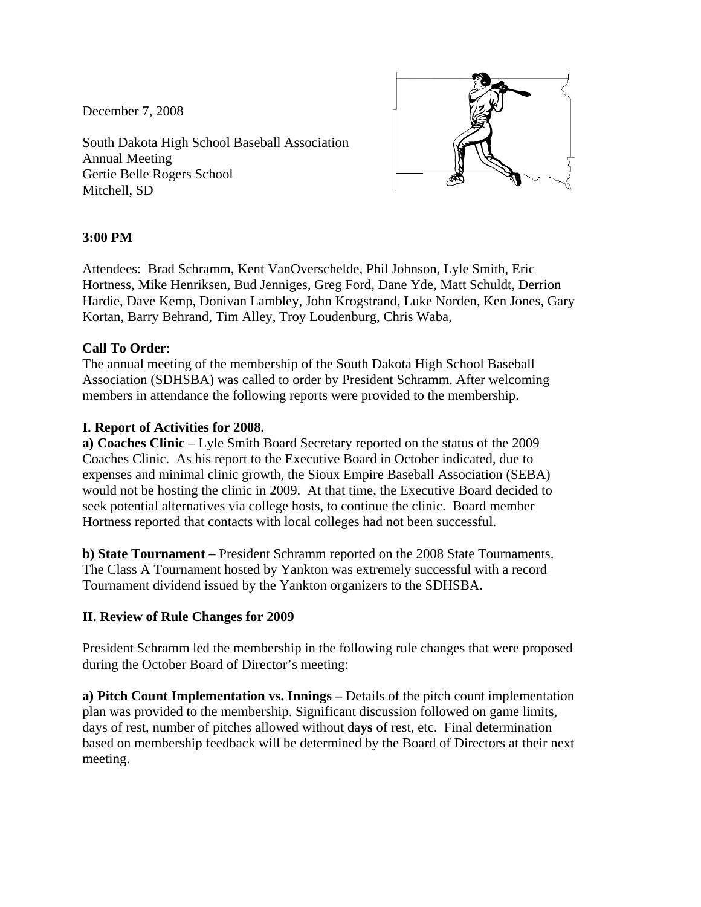December 7, 2008

South Dakota High School Baseball Association Annual Meeting Gertie Belle Rogers School Mitchell, SD



## **3:00 PM**

Attendees: Brad Schramm, Kent VanOverschelde, Phil Johnson, Lyle Smith, Eric Hortness, Mike Henriksen, Bud Jenniges, Greg Ford, Dane Yde, Matt Schuldt, Derrion Hardie, Dave Kemp, Donivan Lambley, John Krogstrand, Luke Norden, Ken Jones, Gary Kortan, Barry Behrand, Tim Alley, Troy Loudenburg, Chris Waba,

## **Call To Order**:

The annual meeting of the membership of the South Dakota High School Baseball Association (SDHSBA) was called to order by President Schramm. After welcoming members in attendance the following reports were provided to the membership.

## **I. Report of Activities for 2008.**

**a) Coaches Clinic** – Lyle Smith Board Secretary reported on the status of the 2009 Coaches Clinic. As his report to the Executive Board in October indicated, due to expenses and minimal clinic growth, the Sioux Empire Baseball Association (SEBA) would not be hosting the clinic in 2009. At that time, the Executive Board decided to seek potential alternatives via college hosts, to continue the clinic. Board member Hortness reported that contacts with local colleges had not been successful.

**b) State Tournament** – President Schramm reported on the 2008 State Tournaments. The Class A Tournament hosted by Yankton was extremely successful with a record Tournament dividend issued by the Yankton organizers to the SDHSBA.

## **II. Review of Rule Changes for 2009**

President Schramm led the membership in the following rule changes that were proposed during the October Board of Director's meeting:

**a) Pitch Count Implementation vs. Innings –** Details of the pitch count implementation plan was provided to the membership. Significant discussion followed on game limits, days of rest, number of pitches allowed without da**ys** of rest, etc. Final determination based on membership feedback will be determined by the Board of Directors at their next meeting.